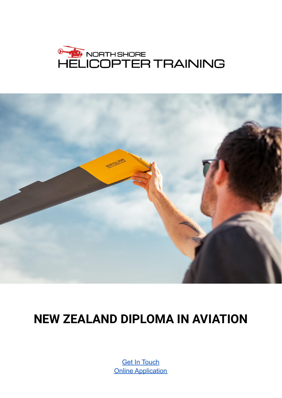



# **NEW ZEALAND DIPLOMA IN AVIATION**

**Get In [Touch](https://www.helitraining.co.nz/contact) Online [Application](https://docs.google.com/forms/d/e/1FAIpQLSewuHWETjpazOngvFbHeMMkYQoJ5gtxkOrJfPSy5Yn3WMaZ3g/viewform)**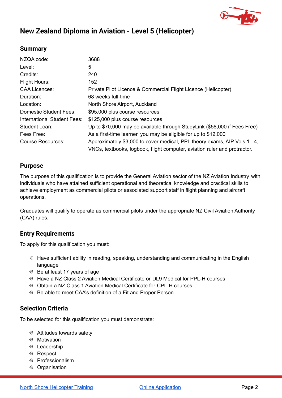

### **New Zealand Diploma in Aviation - Level 5 (Helicopter)**

#### **Summary**

| NZQA code:                         | 3688                                                                         |  |
|------------------------------------|------------------------------------------------------------------------------|--|
| Level:                             | 5                                                                            |  |
| Credits:                           | 240                                                                          |  |
| <b>Flight Hours:</b>               | 152                                                                          |  |
| <b>CAA Licences:</b>               | Private Pilot Licence & Commercial Flight Licence (Helicopter)               |  |
| Duration:                          | 68 weeks full-time                                                           |  |
| Location:                          | North Shore Airport, Auckland                                                |  |
| <b>Domestic Student Fees:</b>      | \$95,000 plus course resources                                               |  |
| <b>International Student Fees:</b> | \$125,000 plus course resources                                              |  |
| Student Loan:                      | Up to \$70,000 may be available through StudyLink (\$58,000 if Fees Free)    |  |
| Fees Free:                         | As a first-time learner, you may be eligible for up to \$12,000              |  |
| Course Resources:                  | Approximately \$3,000 to cover medical, PPL theory exams, AIP Vols $1 - 4$ , |  |
|                                    | VNCs, textbooks, logbook, flight computer, aviation ruler and protractor.    |  |

#### **Purpose**

The purpose of this qualification is to provide the General Aviation sector of the NZ Aviation Industry with individuals who have attained sufficient operational and theoretical knowledge and practical skills to achieve employment as commercial pilots or associated support staff in flight planning and aircraft operations.

Graduates will qualify to operate as commercial pilots under the appropriate NZ Civil Aviation Authority (CAA) rules.

#### **Entry Requirements**

To apply for this qualification you must:

- ❊ Have sufficient ability in reading, speaking, understanding and communicating in the English language
- ❊ Be at least 17 years of age
- ❊ Have a NZ Class 2 Aviation Medical Certificate or DL9 Medical for PPL-H courses
- ❊ Obtain a NZ Class 1 Aviation Medical Certificate for CPL-H courses
- ❊ Be able to meet CAA's definition of a Fit and Proper Person

#### **Selection Criteria**

To be selected for this qualification you must demonstrate:

- ❊ Attitudes towards safety
- ❊ Motivation
- ❊ Leadership
- ❊ Respect
- ❊ Professionalism
- ❊ Organisation